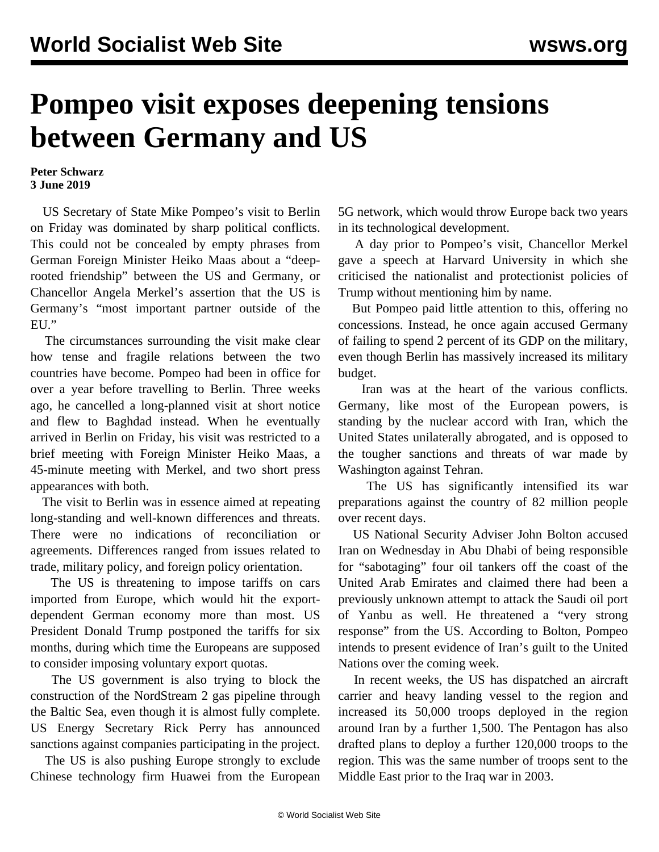## **Pompeo visit exposes deepening tensions between Germany and US**

## **Peter Schwarz 3 June 2019**

 US Secretary of State Mike Pompeo's visit to Berlin on Friday was dominated by sharp political conflicts. This could not be concealed by empty phrases from German Foreign Minister Heiko Maas about a "deeprooted friendship" between the US and Germany, or Chancellor Angela Merkel's assertion that the US is Germany's "most important partner outside of the EU."

 The circumstances surrounding the visit make clear how tense and fragile relations between the two countries have become. Pompeo had been in office for over a year before travelling to Berlin. Three weeks ago, he cancelled a long-planned visit at short notice and flew to Baghdad instead. When he eventually arrived in Berlin on Friday, his visit was restricted to a brief meeting with Foreign Minister Heiko Maas, a 45-minute meeting with Merkel, and two short press appearances with both.

 The visit to Berlin was in essence aimed at repeating long-standing and well-known differences and threats. There were no indications of reconciliation or agreements. Differences ranged from issues related to trade, military policy, and foreign policy orientation.

 The US is threatening to impose tariffs on cars imported from Europe, which would hit the exportdependent German economy more than most. US President Donald Trump postponed the tariffs for six months, during which time the Europeans are supposed to consider imposing voluntary export quotas.

 The US government is also trying to block the construction of the NordStream 2 gas pipeline through the Baltic Sea, even though it is almost fully complete. US Energy Secretary Rick Perry has announced sanctions against companies participating in the project.

 The US is also pushing Europe strongly to exclude Chinese technology firm Huawei from the European 5G network, which would throw Europe back two years in its technological development.

 A day prior to Pompeo's visit, Chancellor Merkel gave a speech at Harvard University in which she criticised the nationalist and protectionist policies of Trump without mentioning him by name.

 But Pompeo paid little attention to this, offering no concessions. Instead, he once again accused Germany of failing to spend 2 percent of its GDP on the military, even though Berlin has massively increased its military budget.

 Iran was at the heart of the various conflicts. Germany, like most of the European powers, is standing by the nuclear accord with Iran, which the United States unilaterally abrogated, and is opposed to the tougher sanctions and threats of war made by Washington against Tehran.

 The US has significantly intensified its war preparations against the country of 82 million people over recent days.

 US National Security Adviser John Bolton accused Iran on Wednesday in Abu Dhabi of being responsible for "sabotaging" four oil tankers off the coast of the United Arab Emirates and claimed there had been a previously unknown attempt to attack the Saudi oil port of Yanbu as well. He threatened a "very strong response" from the US. According to Bolton, Pompeo intends to present evidence of Iran's guilt to the United Nations over the coming week.

 In recent weeks, the US has dispatched an aircraft carrier and heavy landing vessel to the region and increased its 50,000 troops deployed in the region around Iran by a further 1,500. The Pentagon has also drafted plans to deploy a further 120,000 troops to the region. This was the same number of troops sent to the Middle East prior to the Iraq war in 2003.